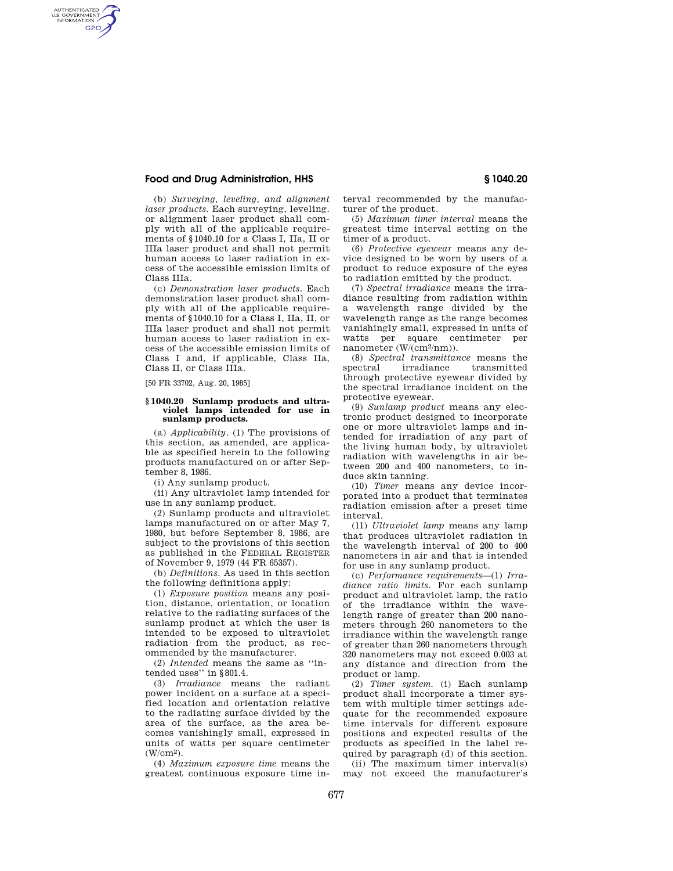# **Food and Drug Administration, HHS § 1040.20**

AUTHENTICATED<br>U.S. GOVERNMENT<br>INFORMATION **GPO** 

> (b) *Surveying, leveling, and alignment laser products.* Each surveying, leveling. or alignment laser product shall comply with all of the applicable requirements of §1040.10 for a Class I, IIa, II or IIIa laser product and shall not permit human access to laser radiation in excess of the accessible emission limits of Class IIIa.

> (c) *Demonstration laser products.* Each demonstration laser product shall comply with all of the applicable requirements of §1040.10 for a Class I, IIa, II, or IIIa laser product and shall not permit human access to laser radiation in excess of the accessible emission limits of Class I and, if applicable, Class IIa, Class II, or Class IIIa.

[50 FR 33702, Aug. 20, 1985]

## **§ 1040.20 Sunlamp products and ultraviolet lamps intended for use in sunlamp products.**

(a) *Applicability.* (1) The provisions of this section, as amended, are applicable as specified herein to the following products manufactured on or after September 8, 1986.

(i) Any sunlamp product.

(ii) Any ultraviolet lamp intended for use in any sunlamp product.

(2) Sunlamp products and ultraviolet lamps manufactured on or after May 7, 1980, but before September 8, 1986, are subject to the provisions of this section as published in the FEDERAL REGISTER of November 9, 1979 (44 FR 65357).

(b) *Definitions.* As used in this section the following definitions apply:

(1) *Exposure position* means any position, distance, orientation, or location relative to the radiating surfaces of the sunlamp product at which the user is intended to be exposed to ultraviolet radiation from the product, as recommended by the manufacturer.

(2) *Intended* means the same as ''intended uses'' in §801.4.

(3) *Irradiance* means the radiant power incident on a surface at a specified location and orientation relative to the radiating surface divided by the area of the surface, as the area becomes vanishingly small, expressed in units of watts per square centimeter (W/cm2).

(4) *Maximum exposure time* means the greatest continuous exposure time interval recommended by the manufacturer of the product.

(5) *Maximum timer interval* means the greatest time interval setting on the timer of a product.

(6) *Protective eyewear* means any device designed to be worn by users of a product to reduce exposure of the eyes to radiation emitted by the product.

(7) *Spectral irradiance* means the irradiance resulting from radiation within a wavelength range divided by the wavelength range as the range becomes vanishingly small, expressed in units of watts per square centimeter per nanometer (W/(cm2/nm)).

(8) *Spectral transmittance* means the spectral irradiance transmitted through protective eyewear divided by the spectral irradiance incident on the protective eyewear.

(9) *Sunlamp product* means any electronic product designed to incorporate one or more ultraviolet lamps and intended for irradiation of any part of the living human body, by ultraviolet radiation with wavelengths in air between 200 and 400 nanometers, to induce skin tanning.

(10) *Timer* means any device incorporated into a product that terminates radiation emission after a preset time interval.

(11) *Ultraviolet lamp* means any lamp that produces ultraviolet radiation in the wavelength interval of 200 to 400 nanometers in air and that is intended for use in any sunlamp product.

(c) *Performance requirements*—(1) *Irradiance ratio limits.* For each sunlamp product and ultraviolet lamp, the ratio of the irradiance within the wavelength range of greater than 200 nanometers through 260 nanometers to the irradiance within the wavelength range of greater than 260 nanometers through 320 nanometers may not exceed 0.003 at any distance and direction from the product or lamp.

(2) *Timer system.* (i) Each sunlamp product shall incorporate a timer system with multiple timer settings adequate for the recommended exposure time intervals for different exposure positions and expected results of the products as specified in the label required by paragraph (d) of this section.

(ii) The maximum timer interval(s) may not exceed the manufacturer's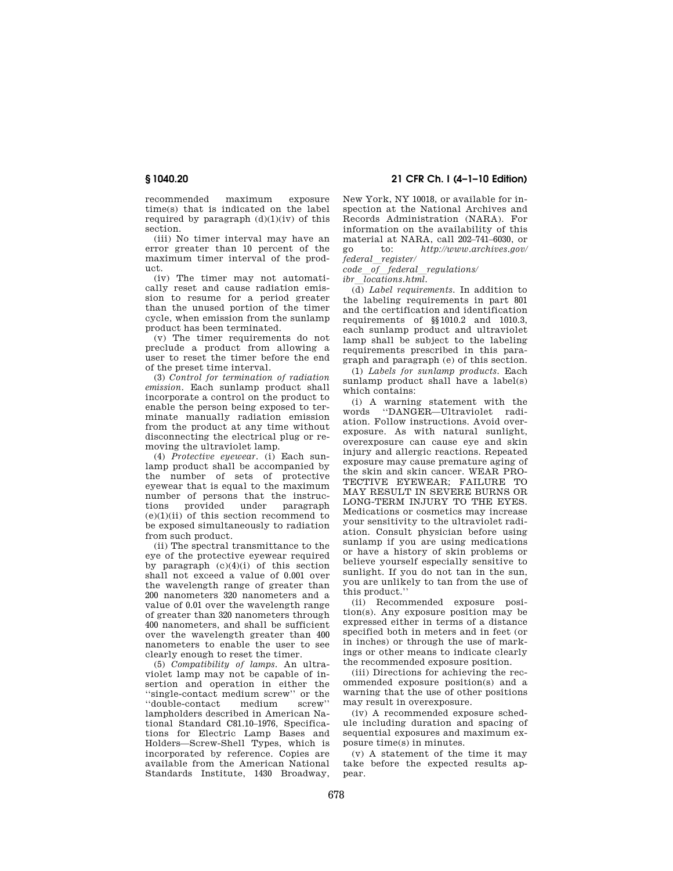recommended maximum exposure time(s) that is indicated on the label required by paragraph  $(d)(1)(iv)$  of this section.

(iii) No timer interval may have an error greater than 10 percent of the maximum timer interval of the product.

(iv) The timer may not automatically reset and cause radiation emission to resume for a period greater than the unused portion of the timer cycle, when emission from the sunlamp product has been terminated.

(v) The timer requirements do not preclude a product from allowing a user to reset the timer before the end of the preset time interval.

(3) *Control for termination of radiation emission* Each sunlamp product shall incorporate a control on the product to enable the person being exposed to terminate manually radiation emission from the product at any time without disconnecting the electrical plug or removing the ultraviolet lamp.

(4) *Protective eyewear.* (i) Each sunlamp product shall be accompanied by the number of sets of protective eyewear that is equal to the maximum number of persons that the instruc-<br>tions provided under paragraph provided  $(e)(1)(ii)$  of this section recommend to be exposed simultaneously to radiation from such product.

(ii) The spectral transmittance to the eye of the protective eyewear required by paragraph  $(c)(4)(i)$  of this section shall not exceed a value of 0.001 over the wavelength range of greater than 200 nanometers 320 nanometers and a value of 0.01 over the wavelength range of greater than 320 nanometers through 400 nanometers, and shall be sufficient over the wavelength greater than 400 nanometers to enable the user to see clearly enough to reset the timer.

(5) *Compatibility of lamps.* An ultraviolet lamp may not be capable of insertion and operation in either the ''single-contact medium screw'' or the "double-contact medium lampholders described in American National Standard C81.10–1976, Specifications for Electric Lamp Bases and Holders—Screw-Shell Types, which is incorporated by reference. Copies are available from the American National Standards Institute, 1430 Broadway,

**§ 1040.20 21 CFR Ch. I (4–1–10 Edition)** 

New York, NY 10018, or available for inspection at the National Archives and Records Administration (NARA). For information on the availability of this material at NARA, call 202–741–6030, or go to: *http://www.archives.gov/*   $f$ *ederal register*/

*code*l*of*l*federal*l*regulations/* 

*ibr*l*locations.html.* 

(d) *Label requirements.* In addition to the labeling requirements in part 801 and the certification and identification requirements of §§1010.2 and 1010.3, each sunlamp product and ultraviolet lamp shall be subject to the labeling requirements prescribed in this paragraph and paragraph (e) of this section.

(1) *Labels for sunlamp products.* Each sunlamp product shall have a label(s) which contains:

(i) A warning statement with the words ''DANGER—Ultraviolet radiation. Follow instructions. Avoid overexposure. As with natural sunlight, overexposure can cause eye and skin injury and allergic reactions. Repeated exposure may cause premature aging of the skin and skin cancer. WEAR PRO-TECTIVE EYEWEAR; FAILURE TO MAY RESULT IN SEVERE BURNS OR LONG-TERM INJURY TO THE EYES. Medications or cosmetics may increase your sensitivity to the ultraviolet radiation. Consult physician before using sunlamp if you are using medications or have a history of skin problems or believe yourself especially sensitive to sunlight. If you do not tan in the sun, you are unlikely to tan from the use of this product.''

(ii) Recommended exposure position(s). Any exposure position may be expressed either in terms of a distance specified both in meters and in feet (or in inches) or through the use of markings or other means to indicate clearly the recommended exposure position.

(iii) Directions for achieving the recommended exposure position(s) and a warning that the use of other positions may result in overexposure.

(iv) A recommended exposure schedule including duration and spacing of sequential exposures and maximum exposure time(s) in minutes.

(v) A statement of the time it may take before the expected results appear.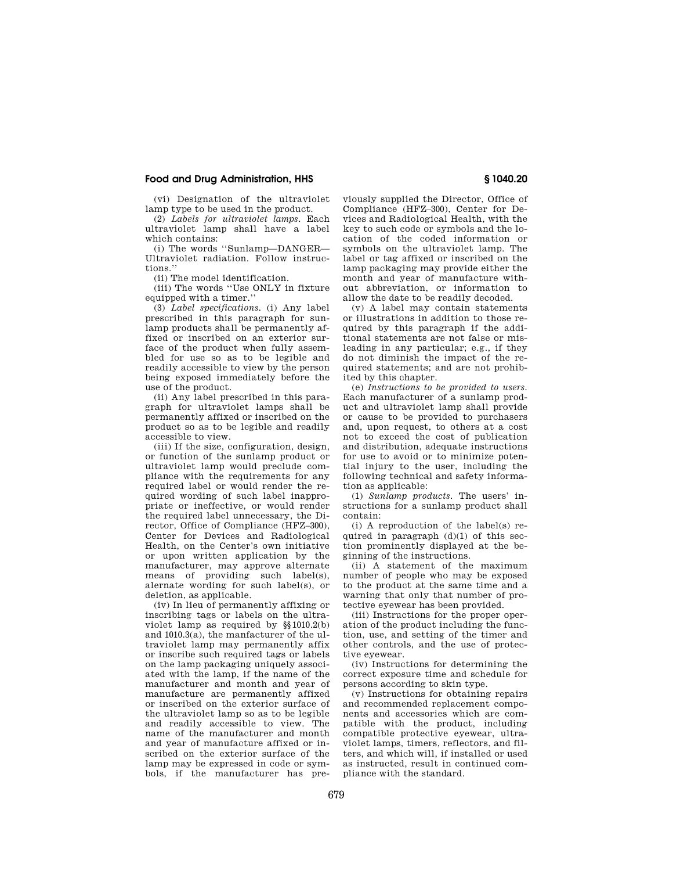## **Food and Drug Administration, HHS § 1040.20**

(vi) Designation of the ultraviolet lamp type to be used in the product.

(2) *Labels for ultraviolet lamps.* Each ultraviolet lamp shall have a label which contains:

(i) The words ''Sunlamp—DANGER— Ultraviolet radiation. Follow instructions.''

(ii) The model identification.

(iii) The words ''Use ONLY in fixture equipped with a timer.'

(3) *Label specifications.* (i) Any label prescribed in this paragraph for sunlamp products shall be permanently affixed or inscribed on an exterior surface of the product when fully assembled for use so as to be legible and readily accessible to view by the person being exposed immediately before the use of the product.

(ii) Any label prescribed in this paragraph for ultraviolet lamps shall be permanently affixed or inscribed on the product so as to be legible and readily accessible to view.

(iii) If the size, configuration, design, or function of the sunlamp product or ultraviolet lamp would preclude compliance with the requirements for any required label or would render the required wording of such label inappropriate or ineffective, or would render the required label unnecessary, the Director, Office of Compliance (HFZ–300), Center for Devices and Radiological Health, on the Center's own initiative or upon written application by the manufacturer, may approve alternate means of providing such label(s), alernate wording for such label(s), or deletion, as applicable.

(iv) In lieu of permanently affixing or inscribing tags or labels on the ultraviolet lamp as required by §§1010.2(b) and 1010.3(a), the manfacturer of the ultraviolet lamp may permanently affix or inscribe such required tags or labels on the lamp packaging uniquely associated with the lamp, if the name of the manufacturer and month and year of manufacture are permanently affixed or inscribed on the exterior surface of the ultraviolet lamp so as to be legible and readily accessible to view. The name of the manufacturer and month and year of manufacture affixed or inscribed on the exterior surface of the lamp may be expressed in code or symbols, if the manufacturer has pre-

viously supplied the Director, Office of Compliance (HFZ–300), Center for Devices and Radiological Health, with the key to such code or symbols and the location of the coded information or symbols on the ultraviolet lamp. The label or tag affixed or inscribed on the lamp packaging may provide either the month and year of manufacture without abbreviation, or information to allow the date to be readily decoded.

(v) A label may contain statements or illustrations in addition to those required by this paragraph if the additional statements are not false or misleading in any particular; e.g., if they do not diminish the impact of the required statements; and are not prohibited by this chapter.

(e) *Instructions to be provided to users.*  Each manufacturer of a sunlamp product and ultraviolet lamp shall provide or cause to be provided to purchasers and, upon request, to others at a cost not to exceed the cost of publication and distribution, adequate instructions for use to avoid or to minimize potential injury to the user, including the following technical and safety information as applicable:

(1) *Sunlamp products.* The users' instructions for a sunlamp product shall contain:

(i) A reproduction of the label(s) required in paragraph  $(d)(1)$  of this section prominently displayed at the beginning of the instructions.

(ii) A statement of the maximum number of people who may be exposed to the product at the same time and a warning that only that number of protective eyewear has been provided.

(iii) Instructions for the proper operation of the product including the function, use, and setting of the timer and other controls, and the use of protective eyewear.

(iv) Instructions for determining the correct exposure time and schedule for persons according to skin type.

(v) Instructions for obtaining repairs and recommended replacement components and accessories which are compatible with the product, including compatible protective eyewear, ultraviolet lamps, timers, reflectors, and filters, and which will, if installed or used as instructed, result in continued compliance with the standard.